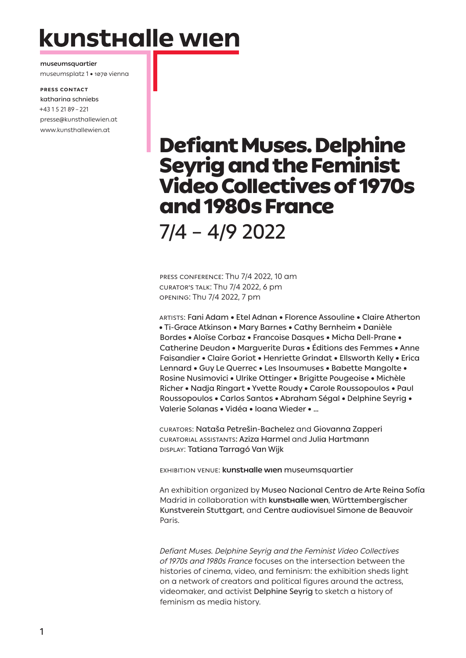# kunsthalle wien

**museumsquartier** museumsplatz 1 • 1070 vienna

**Press contact** katharina schniebs +43 1 5 21 89 – 221 presse@kunsthallewien.at www.kunsthallewien.at

# Defiant Muses. Delphine Seyrig and the Feminist Video Collectives of 1970s and 1980s France

7/4 – 4/9 2022

PRESS CONFERENCE: Thu 7/4 2022, 10 am CURATOR'S TALK: Thu 7/4 2022, 6 pm OPENING: Thu 7/4 2022, 7 pm

Artists: Fani Adam • Etel Adnan • Florence Assouline • Claire Atherton • Ti-Grace Atkinson • Mary Barnes • Cathy Bernheim • Danièle Bordes • Aloïse Corbaz • Francoise Dasques • Micha Dell-Prane • Catherine Deudon • Marguerite Duras • Éditions des Femmes • Anne Faisandier • Claire Goriot • Henriette Grindat • Ellsworth Kelly • Erica Lennard • Guy Le Querrec • Les Insoumuses • Babette Mangolte • Rosine Nusimovici • Ulrike Ottinger • Brigitte Pougeoise • Michèle Richer • Nadja Ringart • Yvette Roudy • Carole Roussopoulos • Paul Roussopoulos • Carlos Santos • Abraham Ségal • Delphine Seyrig • Valerie Solanas • Vidéa • Ioana Wieder • …

curators: Nataša Petrešin-Bachelez and Giovanna Zapperi CURATORIAL ASSISTANTS: Aziza Harmel and Julia Hartmann display: Tatiana Tarragó Van Wijk

EXHIBITION VENUE: **kunsthalle wien** museumsquartier

An exhibition organized by Museo Nacional Centro de Arte Reina Sofía Madrid in collaboration with **kunsthalle wien**, Württembergischer Kunstverein Stuttgart, and Centre audiovisuel Simone de Beauvoir Paris.

*Defiant Muses. Delphine Seyrig and the Feminist Video Collectives of 1970s and 1980s France* focuses on the intersection between the histories of cinema, video, and feminism: the exhibition sheds light on a network of creators and political figures around the actress, videomaker, and activist Delphine Seyrig to sketch a history of feminism as media history.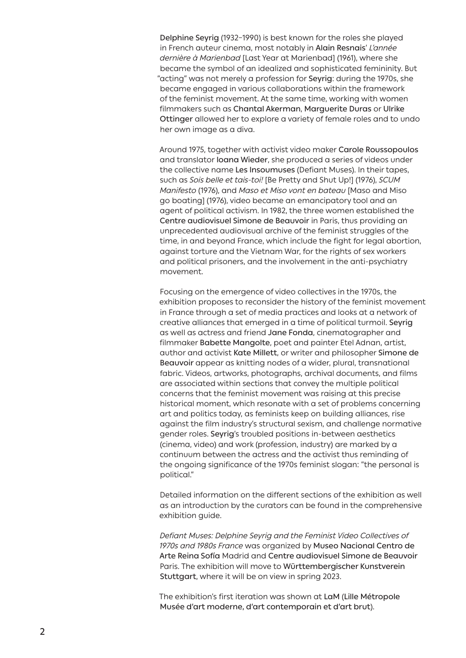Delphine Seyrig (1932–1990) is best known for the roles she played in French auteur cinema, most notably in Alain Resnais' *L'année dernière à Marienbad* [Last Year at Marienbad] (1961), where she became the symbol of an idealized and sophisticated femininity. But "acting" was not merely a profession for Seyrig: during the 1970s, she became engaged in various collaborations within the framework of the feminist movement. At the same time, working with women filmmakers such as Chantal Akerman, Marguerite Duras or Ulrike Ottinger allowed her to explore a variety of female roles and to undo her own image as a diva.

Around 1975, together with activist video maker Carole Roussopoulos and translator Ioana Wieder, she produced a series of videos under the collective name Les Insoumuses (Defiant Muses). In their tapes, such as *Sois belle et tais-toi!* [Be Pretty and Shut Up!] (1976), *SCUM Manifesto* (1976), and *Maso et Miso vont en bateau* [Maso and Miso go boating] (1976), video became an emancipatory tool and an agent of political activism. In 1982, the three women established the Centre audiovisuel Simone de Beauvoir in Paris, thus providing an unprecedented audiovisual archive of the feminist struggles of the time, in and beyond France, which include the fight for legal abortion, against torture and the Vietnam War, for the rights of sex workers and political prisoners, and the involvement in the anti-psychiatry movement.

Focusing on the emergence of video collectives in the 1970s, the exhibition proposes to reconsider the history of the feminist movement in France through a set of media practices and looks at a network of creative alliances that emerged in a time of political turmoil. Seyrig as well as actress and friend Jane Fonda, cinematographer and filmmaker Babette Mangolte, poet and painter Etel Adnan, artist, author and activist Kate Millett, or writer and philosopher Simone de Beauvoir appear as knitting nodes of a wider, plural, transnational fabric. Videos, artworks, photographs, archival documents, and films are associated within sections that convey the multiple political concerns that the feminist movement was raising at this precise historical moment, which resonate with a set of problems concerning art and politics today, as feminists keep on building alliances, rise against the film industry's structural sexism, and challenge normative gender roles. Seyrig's troubled positions in-between aesthetics (cinema, video) and work (profession, industry) are marked by a continuum between the actress and the activist thus reminding of the ongoing significance of the 1970s feminist slogan: "the personal is political."

Detailed information on the different sections of the exhibition as well as an introduction by the curators can be found in the comprehensive exhibition guide.

*Defiant Muses: Delphine Seyrig and the Feminist Video Collectives of 1970s and 1980s France* was organized by Museo Nacional Centro de Arte Reina Sofía Madrid and Centre audiovisuel Simone de Beauvoir Paris. The exhibition will move to Württembergischer Kunstverein Stuttgart, where it will be on view in spring 2023.

The exhibition's first iteration was shown at LaM (Lille Métropole Musée d'art moderne, d'art contemporain et d'art brut).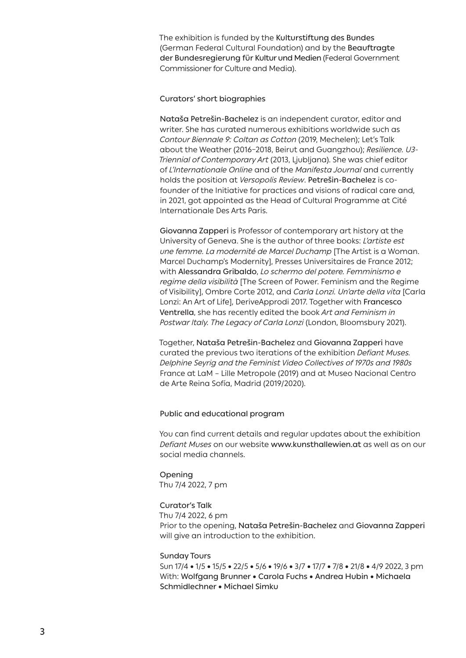The exhibition is funded by the Kulturstiftung des Bundes (German Federal Cultural Foundation) and by the Beauftragte der Bundesregierung für Kultur und Medien (Federal Government Commissioner for Culture and Media).

# Curators' short biographies

Nataša Petrešin-Bachelez is an independent curator, editor and writer. She has curated numerous exhibitions worldwide such as *Contour Biennale 9: Coltan as Cotton* (2019, Mechelen); Let's Talk about the Weather (2016–2018, Beirut and Guangzhou); *Resilience. U3- Triennial of Contemporary Art* (2013, Ljubljana). She was chief editor of *L'Internationale Online* and of the *Manifesta Journal* and currently holds the position at *Versopolis Review*. Petrešin-Bachelez is cofounder of the Initiative for practices and visions of radical care and, in 2021, got appointed as the Head of Cultural Programme at Cité Internationale Des Arts Paris.

Giovanna Zapperi is Professor of contemporary art history at the University of Geneva. She is the author of three books: *L'artiste est une femme. La modernité de Marcel Duchamp* [The Artist is a Woman. Marcel Duchamp's Modernity], Presses Universitaires de France 2012; with Alessandra Gribaldo, *Lo schermo del potere. Femminismo e regime della visibilità* [The Screen of Power. Feminism and the Regime of Visibility], Ombre Corte 2012, and *Carla Lonzi. Un'arte della vita* [Carla Lonzi: An Art of Life], DeriveApprodi 2017. Together with Francesco Ventrella, she has recently edited the book *Art and Feminism in Postwar Italy. The Legacy of Carla Lonzi* (London, Bloomsbury 2021).

Together, Nataša Petrešin-Bachelez and Giovanna Zapperi have curated the previous two iterations of the exhibition *Defiant Muses. Delphine Seyrig and the Feminist Video Collectives of 1970s and 1980s* France at LaM – Lille Metropole (2019) and at Museo Nacional Centro de Arte Reina Sofía, Madrid (2019/2020).

### Public and educational program

You can find current details and regular updates about the exhibition *Defiant Muses* on our website www.kunsthallewien.at as well as on our social media channels.

Opening Thu 7/4 2022, 7 pm

# Curator's Talk

Thu 7/4 2022, 6 pm Prior to the opening, Nataša Petrešin-Bachelez and Giovanna Zapperi

will give an introduction to the exhibition.

### Sunday Tours

Sun 17/4 • 1/5 • 15/5 • 22/5 • 5/6 • 19/6 • 3/7 • 17/7 • 7/8 • 21/8 • 4/9 2022, 3 pm With: Wolfgang Brunner • Carola Fuchs • Andrea Hubin • Michaela Schmidlechner • Michael Simku